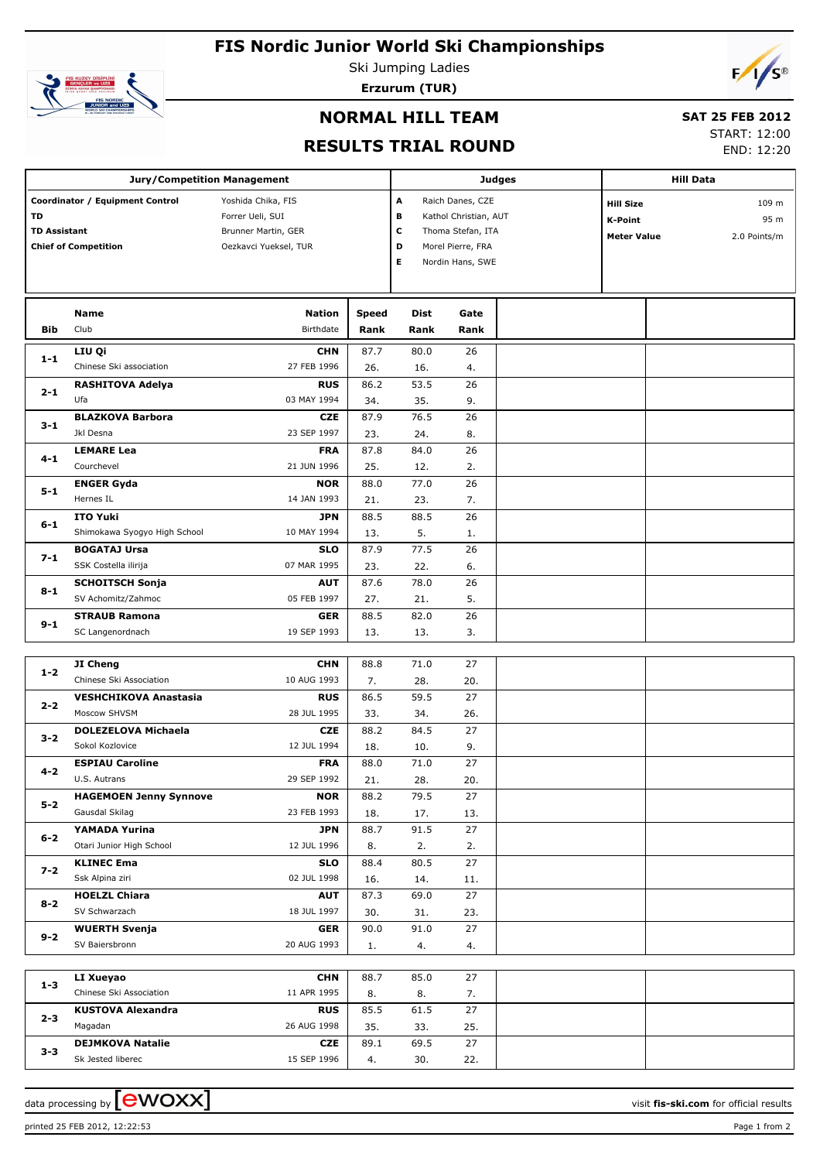# **FIS Nordic Junior World Ski Championships**



Ski Jumping Ladies

**Erzurum (TUR)**

# $F/1/s^{\circ}$

### **NORMAL HILL TEAM**

# **SAT 25 FEB 2012**

#### **RESULTS TRIAL ROUND**

START: 12:00 END: 12:20

|                                  |                                                                | <b>Jury/Competition Management</b>                                                     |                      |                       |                                                                                                         | <b>Judges</b> |                                                   | <b>Hill Data</b>                         |
|----------------------------------|----------------------------------------------------------------|----------------------------------------------------------------------------------------|----------------------|-----------------------|---------------------------------------------------------------------------------------------------------|---------------|---------------------------------------------------|------------------------------------------|
| <b>TD</b><br><b>TD Assistant</b> | Coordinator / Equipment Control<br><b>Chief of Competition</b> | Yoshida Chika, FIS<br>Forrer Ueli, SUI<br>Brunner Martin, GER<br>Oezkavci Yueksel, TUR |                      | A<br>в<br>C<br>D<br>E | Raich Danes, CZE<br>Kathol Christian, AUT<br>Thoma Stefan, ITA<br>Morel Pierre, FRA<br>Nordin Hans, SWE |               | <b>Hill Size</b><br>K-Point<br><b>Meter Value</b> | 109 <sub>m</sub><br>95 m<br>2.0 Points/m |
| <b>Bib</b>                       | <b>Name</b><br>Club                                            | <b>Nation</b><br>Birthdate                                                             | <b>Speed</b><br>Rank | <b>Dist</b><br>Rank   | Gate<br>Rank                                                                                            |               |                                                   |                                          |
| $1 - 1$                          | LIU Qi<br>Chinese Ski association                              | <b>CHN</b><br>27 FEB 1996                                                              | 87.7<br>26.          | 80.0<br>16.           | 26<br>4.                                                                                                |               |                                                   |                                          |
| $2 - 1$                          | <b>RASHITOVA Adelya</b><br>Ufa                                 | <b>RUS</b><br>03 MAY 1994                                                              | 86.2<br>34.          | 53.5<br>35.           | 26<br>9.                                                                                                |               |                                                   |                                          |
| $3 - 1$                          | <b>BLAZKOVA Barbora</b><br>Jkl Desna                           | <b>CZE</b><br>23 SEP 1997                                                              | 87.9<br>23.          | 76.5<br>24.           | 26<br>8.                                                                                                |               |                                                   |                                          |
| $4 - 1$                          | <b>LEMARE Lea</b><br>Courchevel                                | <b>FRA</b><br>21 JUN 1996                                                              | 87.8<br>25.          | 84.0<br>12.           | 26<br>2.                                                                                                |               |                                                   |                                          |
| $5 - 1$                          | <b>ENGER Gyda</b><br>Hernes IL                                 | <b>NOR</b><br>14 JAN 1993                                                              | 88.0<br>21.          | 77.0<br>23.           | 26<br>7.                                                                                                |               |                                                   |                                          |
| $6 - 1$                          | <b>ITO Yuki</b><br>Shimokawa Syogyo High School                | <b>JPN</b><br>10 MAY 1994                                                              | 88.5<br>13.          | 88.5<br>5.            | 26<br>1.                                                                                                |               |                                                   |                                          |
| $7 - 1$                          | <b>BOGATAJ Ursa</b><br>SSK Costella ilirija                    | <b>SLO</b><br>07 MAR 1995                                                              | 87.9<br>23.          | 77.5<br>22.           | 26<br>6.                                                                                                |               |                                                   |                                          |
| $8 - 1$                          | <b>SCHOITSCH Sonja</b><br>SV Achomitz/Zahmoc                   | <b>AUT</b><br>05 FEB 1997                                                              | 87.6<br>27.          | 78.0<br>21.           | 26<br>5.                                                                                                |               |                                                   |                                          |
| $9 - 1$                          | <b>STRAUB Ramona</b><br>SC Langenordnach                       | <b>GER</b><br>19 SEP 1993                                                              | 88.5<br>13.          | 82.0<br>13.           | 26<br>3.                                                                                                |               |                                                   |                                          |

|         | JI Cheng                      | <b>CHN</b>  | 88.8 | 71.0 | 27  |  |
|---------|-------------------------------|-------------|------|------|-----|--|
| $1 - 2$ | Chinese Ski Association       | 10 AUG 1993 | 7.   | 28.  | 20. |  |
|         | <b>VESHCHIKOVA Anastasia</b>  | <b>RUS</b>  | 86.5 | 59.5 | 27  |  |
| $2 - 2$ | Moscow SHVSM                  | 28 JUL 1995 | 33.  | 34.  | 26. |  |
| $3 - 2$ | <b>DOLEZELOVA Michaela</b>    | <b>CZE</b>  | 88.2 | 84.5 | 27  |  |
|         | Sokol Kozlovice               | 12 JUL 1994 | 18.  | 10.  | 9.  |  |
| $4 - 2$ | <b>ESPIAU Caroline</b>        | <b>FRA</b>  | 88.0 | 71.0 | 27  |  |
|         | U.S. Autrans                  | 29 SEP 1992 | 21.  | 28.  | 20. |  |
| $5-2$   | <b>HAGEMOEN Jenny Synnove</b> | <b>NOR</b>  | 88.2 | 79.5 | 27  |  |
|         | Gausdal Skilag                | 23 FEB 1993 | 18.  | 17.  | 13. |  |
| $6 - 2$ | YAMADA Yurina                 | <b>JPN</b>  | 88.7 | 91.5 | 27  |  |
|         | Otari Junior High School      | 12 JUL 1996 | 8.   | 2.   | 2.  |  |
| $7 - 2$ | <b>KLINEC Ema</b>             | <b>SLO</b>  | 88.4 | 80.5 | 27  |  |
|         | Ssk Alpina ziri               | 02 JUL 1998 | 16.  | 14.  | 11. |  |
| $8 - 2$ | <b>HOELZL Chiara</b>          | <b>AUT</b>  | 87.3 | 69.0 | 27  |  |
|         | SV Schwarzach                 | 18 JUL 1997 | 30.  | 31.  | 23. |  |
| $9 - 2$ | <b>WUERTH Svenja</b>          | <b>GER</b>  | 90.0 | 91.0 | 27  |  |
|         | SV Baiersbronn                | 20 AUG 1993 | 1.   | 4.   | 4.  |  |
|         |                               |             |      |      |     |  |
| $1 - 3$ | LI Xueyao                     | <b>CHN</b>  | 88.7 | 85.0 | 27  |  |
|         | Chinese Ski Association       | 11 APR 1995 | 8.   | 8.   | 7.  |  |
| $2 - 3$ | <b>KUSTOVA Alexandra</b>      | <b>RUS</b>  | 85.5 | 61.5 | 27  |  |
|         | Magadan                       | 26 AUG 1998 | 35.  | 33.  | 25. |  |

69.5

27

| - -<br>د-د | Sk Jested liberec | 15 SEP 1996 | т. | $\sim$<br>JU. | $\sim$ $\sim$<br><u>__ .</u> |  |
|------------|-------------------|-------------|----|---------------|------------------------------|--|
|            |                   |             |    |               |                              |  |

**CZE** 89.1

printed 25 FEB 2012, 12:22:53 Page 1 from 2

**DEJMKOVA Natalie**